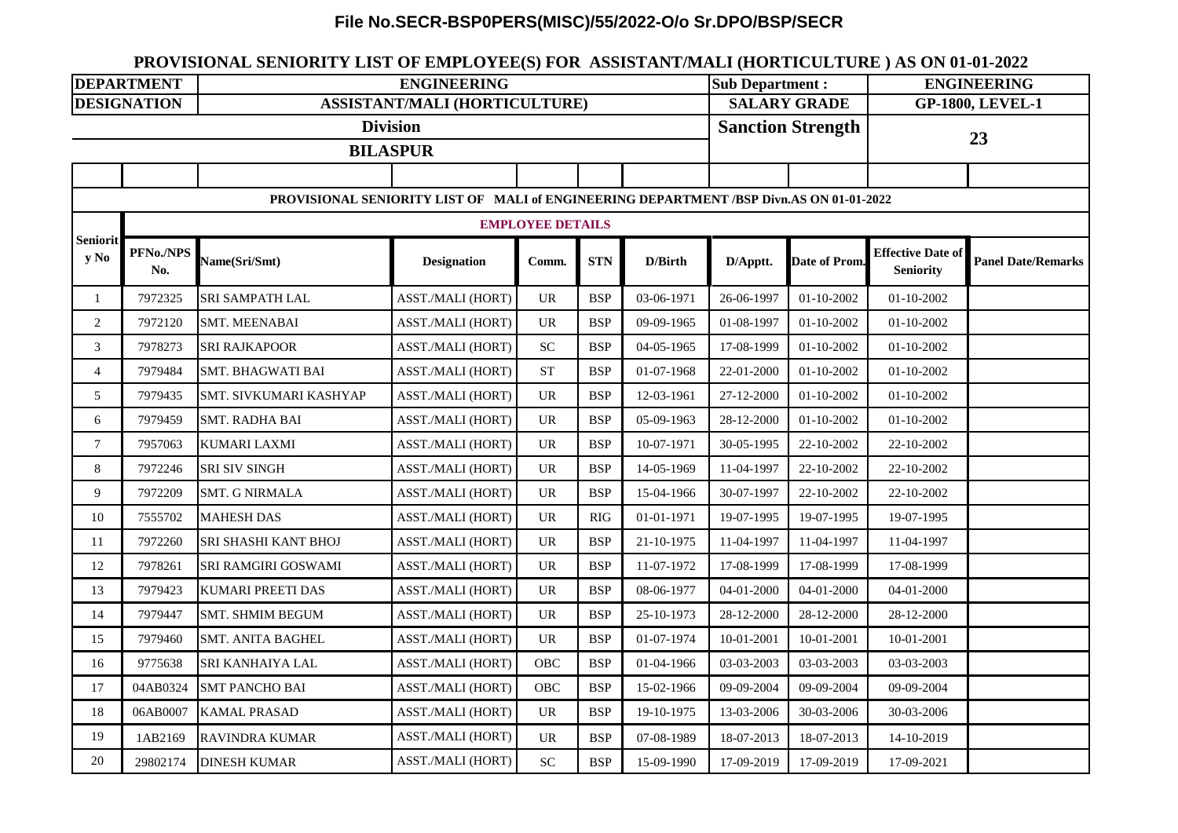## **File No.SECR-BSP0PERS(MISC)/55/2022-O/o Sr.DPO/BSP/SECR**

## **PROVISIONAL SENIORITY LIST OF EMPLOYEE(S) FOR ASSISTANT/MALI (HORTICULTURE ) AS ON 01-01-2022**

| <b>DEPARTMENT</b>                                                                       |                  | <b>ENGINEERING</b>            |                    |                                   |            |            | <b>Sub Department:</b> |                          | <b>ENGINEERING</b>                           |                           |  |  |
|-----------------------------------------------------------------------------------------|------------------|-------------------------------|--------------------|-----------------------------------|------------|------------|------------------------|--------------------------|----------------------------------------------|---------------------------|--|--|
| <b>DESIGNATION</b>                                                                      |                  | ASSISTANT/MALI (HORTICULTURE) |                    |                                   |            |            |                        | <b>SALARY GRADE</b>      |                                              | <b>GP-1800, LEVEL-1</b>   |  |  |
| <b>Division</b>                                                                         |                  |                               |                    |                                   |            |            |                        | <b>Sanction Strength</b> |                                              | 23                        |  |  |
|                                                                                         |                  | <b>BILASPUR</b>               |                    |                                   |            |            |                        |                          |                                              |                           |  |  |
|                                                                                         |                  |                               |                    |                                   |            |            |                        |                          |                                              |                           |  |  |
| PROVISIONAL SENIORITY LIST OF MALI of ENGINEERING DEPARTMENT /BSP Divn.AS ON 01-01-2022 |                  |                               |                    |                                   |            |            |                        |                          |                                              |                           |  |  |
|                                                                                         |                  | <b>EMPLOYEE DETAILS</b>       |                    |                                   |            |            |                        |                          |                                              |                           |  |  |
| <b>Seniorit</b><br>y No                                                                 | PFNo./NPS<br>No. | Name(Sri/Smt)                 | <b>Designation</b> | Comm.                             | <b>STN</b> | D/Birth    | D/Apptt.               | Date of Prom.            | <b>Effective Date of</b><br><b>Seniority</b> | <b>Panel Date/Remarks</b> |  |  |
| $\mathbf{1}$                                                                            | 7972325          | <b>SRI SAMPATH LAL</b>        | ASST./MALI (HORT)  | $\ensuremath{\mathrm{UR}}\xspace$ | <b>BSP</b> | 03-06-1971 | 26-06-1997             | 01-10-2002               | $01 - 10 - 2002$                             |                           |  |  |
| $\overline{2}$                                                                          | 7972120          | <b>SMT. MEENABAI</b>          | ASST./MALI (HORT)  | $\ensuremath{\text{UR}}\xspace$   | <b>BSP</b> | 09-09-1965 | 01-08-1997             | $01 - 10 - 2002$         | $01 - 10 - 2002$                             |                           |  |  |
| 3                                                                                       | 7978273          | <b>SRI RAJKAPOOR</b>          | ASST./MALI (HORT)  | <b>SC</b>                         | <b>BSP</b> | 04-05-1965 | 17-08-1999             | $01 - 10 - 2002$         | 01-10-2002                                   |                           |  |  |
| $\overline{4}$                                                                          | 7979484          | <b>SMT. BHAGWATI BAI</b>      | ASST./MALI (HORT)  | <b>ST</b>                         | <b>BSP</b> | 01-07-1968 | 22-01-2000             | $01 - 10 - 2002$         | 01-10-2002                                   |                           |  |  |
| 5                                                                                       | 7979435          | SMT. SIVKUMARI KASHYAP        | ASST./MALI (HORT)  | <b>UR</b>                         | <b>BSP</b> | 12-03-1961 | 27-12-2000             | $01 - 10 - 2002$         | 01-10-2002                                   |                           |  |  |
| 6                                                                                       | 7979459          | <b>SMT. RADHA BAI</b>         | ASST./MALI (HORT)  | <b>UR</b>                         | <b>BSP</b> | 05-09-1963 | 28-12-2000             | $01 - 10 - 2002$         | 01-10-2002                                   |                           |  |  |
| $\tau$                                                                                  | 7957063          | <b>KUMARI LAXMI</b>           | ASST./MALI (HORT)  | $\ensuremath{\text{UR}}\xspace$   | <b>BSP</b> | 10-07-1971 | 30-05-1995             | 22-10-2002               | 22-10-2002                                   |                           |  |  |
| 8                                                                                       | 7972246          | <b>SRI SIV SINGH</b>          | ASST./MALI (HORT)  | <b>UR</b>                         | <b>BSP</b> | 14-05-1969 | 11-04-1997             | 22-10-2002               | 22-10-2002                                   |                           |  |  |
| 9                                                                                       | 7972209          | <b>SMT. G NIRMALA</b>         | ASST./MALI (HORT)  | <b>UR</b>                         | <b>BSP</b> | 15-04-1966 | 30-07-1997             | 22-10-2002               | 22-10-2002                                   |                           |  |  |
| 10                                                                                      | 7555702          | <b>MAHESH DAS</b>             | ASST./MALI (HORT)  | $\ensuremath{\mathrm{UR}}\xspace$ | <b>RIG</b> | 01-01-1971 | 19-07-1995             | 19-07-1995               | 19-07-1995                                   |                           |  |  |
| 11                                                                                      | 7972260          | SRI SHASHI KANT BHOJ          | ASST./MALI (HORT)  | <b>UR</b>                         | <b>BSP</b> | 21-10-1975 | 11-04-1997             | 11-04-1997               | 11-04-1997                                   |                           |  |  |
| 12                                                                                      | 7978261          | SRI RAMGIRI GOSWAMI           | ASST./MALI (HORT)  | $\ensuremath{\mathrm{UR}}\xspace$ | <b>BSP</b> | 11-07-1972 | 17-08-1999             | 17-08-1999               | 17-08-1999                                   |                           |  |  |
| 13                                                                                      | 7979423          | KUMARI PREETI DAS             | ASST./MALI (HORT)  | <b>UR</b>                         | <b>BSP</b> | 08-06-1977 | 04-01-2000             | 04-01-2000               | 04-01-2000                                   |                           |  |  |
| 14                                                                                      | 7979447          | <b>SMT. SHMIM BEGUM</b>       | ASST./MALI (HORT)  | <b>UR</b>                         | <b>BSP</b> | 25-10-1973 | 28-12-2000             | 28-12-2000               | 28-12-2000                                   |                           |  |  |
| 15                                                                                      | 7979460          | <b>SMT. ANITA BAGHEL</b>      | ASST./MALI (HORT)  | <b>UR</b>                         | <b>BSP</b> | 01-07-1974 | 10-01-2001             | 10-01-2001               | 10-01-2001                                   |                           |  |  |
| 16                                                                                      | 9775638          | SRI KANHAIYA LAL              | ASST./MALI (HORT)  | OBC                               | <b>BSP</b> | 01-04-1966 | 03-03-2003             | 03-03-2003               | 03-03-2003                                   |                           |  |  |
| $17\,$                                                                                  | 04AB0324         | <b>SMT PANCHO BAI</b>         | ASST./MALI (HORT)  | OBC                               | <b>BSP</b> | 15-02-1966 | 09-09-2004             | 09-09-2004               | 09-09-2004                                   |                           |  |  |
| 18                                                                                      | 06AB0007         | <b>KAMAL PRASAD</b>           | ASST./MALI (HORT)  | <b>UR</b>                         | <b>BSP</b> | 19-10-1975 | 13-03-2006             | 30-03-2006               | 30-03-2006                                   |                           |  |  |
| 19                                                                                      | 1AB2169          | <b>RAVINDRA KUMAR</b>         | ASST./MALI (HORT)  | <b>UR</b>                         | <b>BSP</b> | 07-08-1989 | 18-07-2013             | 18-07-2013               | 14-10-2019                                   |                           |  |  |
| $20\,$                                                                                  | 29802174         | <b>DINESH KUMAR</b>           | ASST./MALI (HORT)  | $\ensuremath{\mathbf{SC}}$        | <b>BSP</b> | 15-09-1990 | 17-09-2019             | 17-09-2019               | 17-09-2021                                   |                           |  |  |